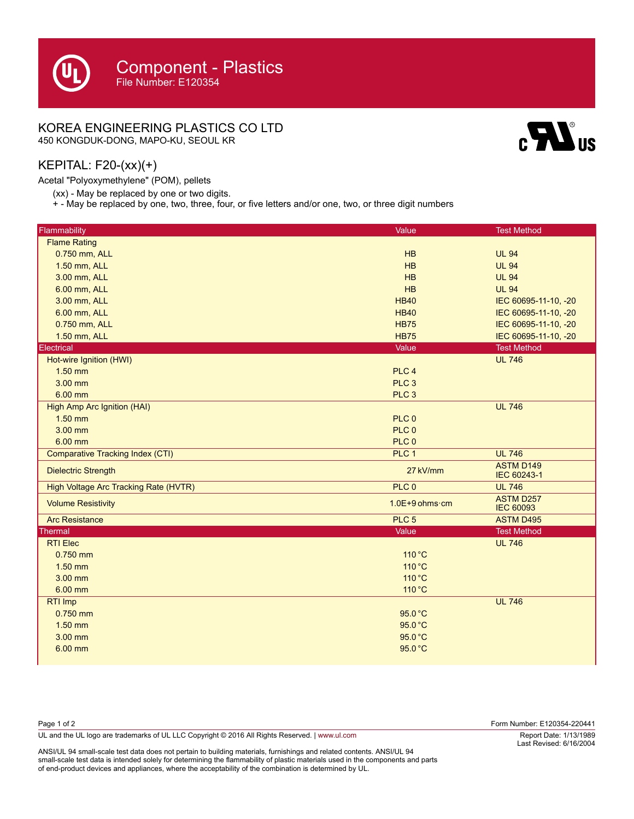### KOREA ENGINEERING PLASTICS CO LTD

450 KONGDUK-DONG, MAPO-KU, SEOUL KR

# $\mathbf{c}$

#### KEPITAL: F20-(xx)(+)

Т

Acetal "Polyoxymethylene" (POM), pellets

(xx) - May be replaced by one or two digits.

+ - May be replaced by one, two, three, four, or five letters and/or one, two, or three digit numbers

| Flammability                            | Value                    | <b>Test Method</b>                   |
|-----------------------------------------|--------------------------|--------------------------------------|
| <b>Flame Rating</b>                     |                          |                                      |
| 0.750 mm, ALL                           | HB                       | <b>UL 94</b>                         |
| 1.50 mm, ALL                            | HB                       | <b>UL 94</b>                         |
| 3.00 mm, ALL                            | HB                       | <b>UL 94</b>                         |
| 6.00 mm, ALL                            | HB                       | <b>UL 94</b>                         |
| 3.00 mm, ALL                            | <b>HB40</b>              | IEC 60695-11-10, -20                 |
| 6.00 mm, ALL                            | <b>HB40</b>              | IEC 60695-11-10, -20                 |
| 0.750 mm, ALL                           | <b>HB75</b>              | IEC 60695-11-10, -20                 |
| 1.50 mm, ALL                            | <b>HB75</b>              | IEC 60695-11-10, -20                 |
| Electrical                              | Value                    | <b>Test Method</b>                   |
| Hot-wire Ignition (HWI)                 |                          | <b>UL 746</b>                        |
| $1.50$ mm                               | PLC <sub>4</sub>         |                                      |
| 3.00 mm                                 | PLC <sub>3</sub>         |                                      |
| 6.00 mm                                 | PLC <sub>3</sub>         |                                      |
| High Amp Arc Ignition (HAI)             |                          | <b>UL 746</b>                        |
| $1.50$ mm                               | PLC <sub>0</sub>         |                                      |
| 3.00 mm                                 | PLC 0                    |                                      |
| 6.00 mm                                 | PLC 0                    |                                      |
| <b>Comparative Tracking Index (CTI)</b> | PLC 1                    | <b>UL 746</b>                        |
| <b>Dielectric Strength</b>              | 27 kV/mm                 | <b>ASTM D149</b><br>IEC 60243-1      |
| High Voltage Arc Tracking Rate (HVTR)   | PLC 0                    | <b>UL 746</b>                        |
| <b>Volume Resistivity</b>               | $1.0E+9$ ohms $\cdot$ cm | <b>ASTM D257</b><br><b>IEC 60093</b> |
| <b>Arc Resistance</b>                   | PLC <sub>5</sub>         | <b>ASTM D495</b>                     |
| <b>Thermal</b>                          | Value                    | <b>Test Method</b>                   |
| <b>RTI Elec</b>                         |                          | <b>UL 746</b>                        |
| $0.750$ mm                              | 110 °C                   |                                      |
| $1.50$ mm                               | 110 °C                   |                                      |
| $3.00$ mm                               | 110 °C                   |                                      |
| 6.00 mm                                 | 110 °C                   |                                      |
| RTI Imp                                 |                          | <b>UL 746</b>                        |
| $0.750$ mm                              | 95.0 °C                  |                                      |
| 1.50 mm                                 | 95.0 °C                  |                                      |
| 3.00 mm                                 | 95.0 °C                  |                                      |
| 6.00 mm                                 | 95.0 °C                  |                                      |

| Page 1 of 2                                                                                    | Form Number: E120354-220441 |
|------------------------------------------------------------------------------------------------|-----------------------------|
| UL and the UL logo are trademarks of UL LLC Copyright © 2016 All Rights Reserved.   www.ul.com | Report Date: 1/13/1989      |
| .                                                                                              | Last Revised: 6/16/2004     |

ANSI/UL 94 small-scale test data does not pertain to building materials, furnishings and related contents. ANSI/UL 94 small-scale test data is intended solely for determining the flammability of plastic materials used in the components and parts of end-product devices and appliances, where the acceptability of the combination is determined by UL.